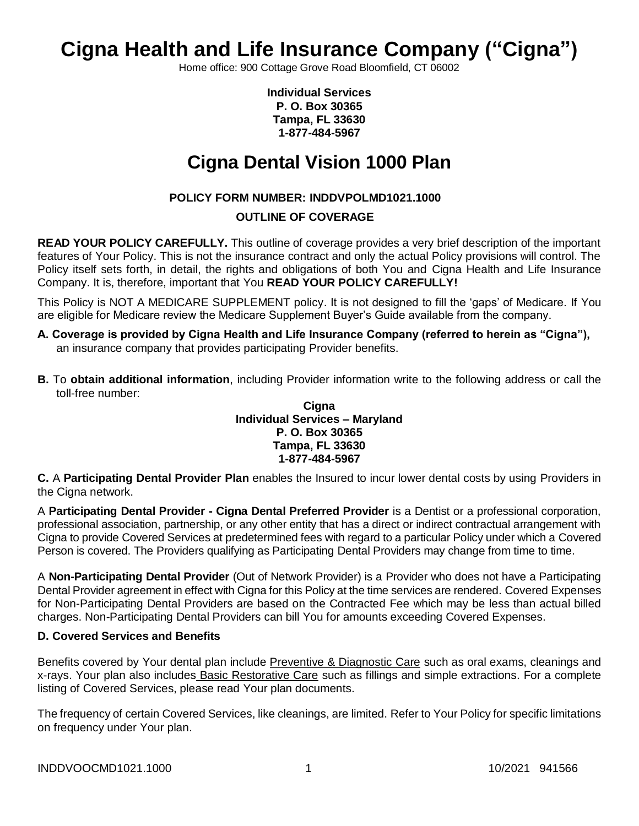# **Cigna Health and Life Insurance Company ("Cigna")**

Home office: 900 Cottage Grove Road Bloomfield, CT 06002

**Individual Services P. O. Box 30365 Tampa, FL 33630 1-877-484-5967**

# **Cigna Dental Vision 1000 Plan**

# **POLICY FORM NUMBER: INDDVPOLMD1021.1000**

# **OUTLINE OF COVERAGE**

**READ YOUR POLICY CAREFULLY.** This outline of coverage provides a very brief description of the important features of Your Policy. This is not the insurance contract and only the actual Policy provisions will control. The Policy itself sets forth, in detail, the rights and obligations of both You and Cigna Health and Life Insurance Company. It is, therefore, important that You **READ YOUR POLICY CAREFULLY!** 

This Policy is NOT A MEDICARE SUPPLEMENT policy. It is not designed to fill the 'gaps' of Medicare. If You are eligible for Medicare review the Medicare Supplement Buyer's Guide available from the company.

- **A. Coverage is provided by Cigna Health and Life Insurance Company (referred to herein as "Cigna"),**  an insurance company that provides participating Provider benefits.
- **B.** To **obtain additional information**, including Provider information write to the following address or call the toll-free number:

### **Cigna Individual Services – Maryland P. O. Box 30365 Tampa, FL 33630 1-877-484-5967**

**C.** A **Participating Dental Provider Plan** enables the Insured to incur lower dental costs by using Providers in the Cigna network.

A **Participating Dental Provider - Cigna Dental Preferred Provider** is a Dentist or a professional corporation, professional association, partnership, or any other entity that has a direct or indirect contractual arrangement with Cigna to provide Covered Services at predetermined fees with regard to a particular Policy under which a Covered Person is covered. The Providers qualifying as Participating Dental Providers may change from time to time.

A **Non-Participating Dental Provider** (Out of Network Provider) is a Provider who does not have a Participating Dental Provider agreement in effect with Cigna for this Policy at the time services are rendered. Covered Expenses for Non-Participating Dental Providers are based on the Contracted Fee which may be less than actual billed charges. Non-Participating Dental Providers can bill You for amounts exceeding Covered Expenses.

# **D. Covered Services and Benefits**

Benefits covered by Your dental plan include Preventive & Diagnostic Care such as oral exams, cleanings and x-rays. Your plan also includes Basic Restorative Care such as fillings and simple extractions. For a complete listing of Covered Services, please read Your plan documents.

The frequency of certain Covered Services, like cleanings, are limited. Refer to Your Policy for specific limitations on frequency under Your plan.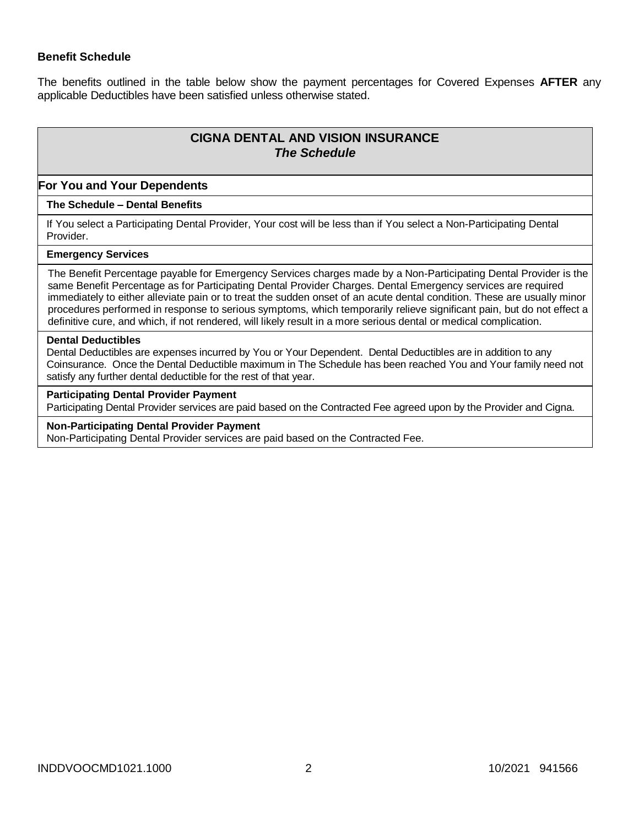# **Benefit Schedule**

The benefits outlined in the table below show the payment percentages for Covered Expenses **AFTER** any applicable Deductibles have been satisfied unless otherwise stated.

# **CIGNA DENTAL AND VISION INSURANCE** *The Schedule*

#### **For You and Your Dependents**

#### **The Schedule – Dental Benefits**

If You select a Participating Dental Provider, Your cost will be less than if You select a Non-Participating Dental Provider.

### **Emergency Services**

The Benefit Percentage payable for Emergency Services charges made by a Non-Participating Dental Provider is the same Benefit Percentage as for Participating Dental Provider Charges. Dental Emergency services are required immediately to either alleviate pain or to treat the sudden onset of an acute dental condition. These are usually minor procedures performed in response to serious symptoms, which temporarily relieve significant pain, but do not effect a definitive cure, and which, if not rendered, will likely result in a more serious dental or medical complication.

#### **Dental Deductibles**

Dental Deductibles are expenses incurred by You or Your Dependent. Dental Deductibles are in addition to any Coinsurance. Once the Dental Deductible maximum in The Schedule has been reached You and Your family need not satisfy any further dental deductible for the rest of that year.

#### **Participating Dental Provider Payment**

Participating Dental Provider services are paid based on the Contracted Fee agreed upon by the Provider and Cigna.

#### **Non-Participating Dental Provider Payment**

Non-Participating Dental Provider services are paid based on the Contracted Fee.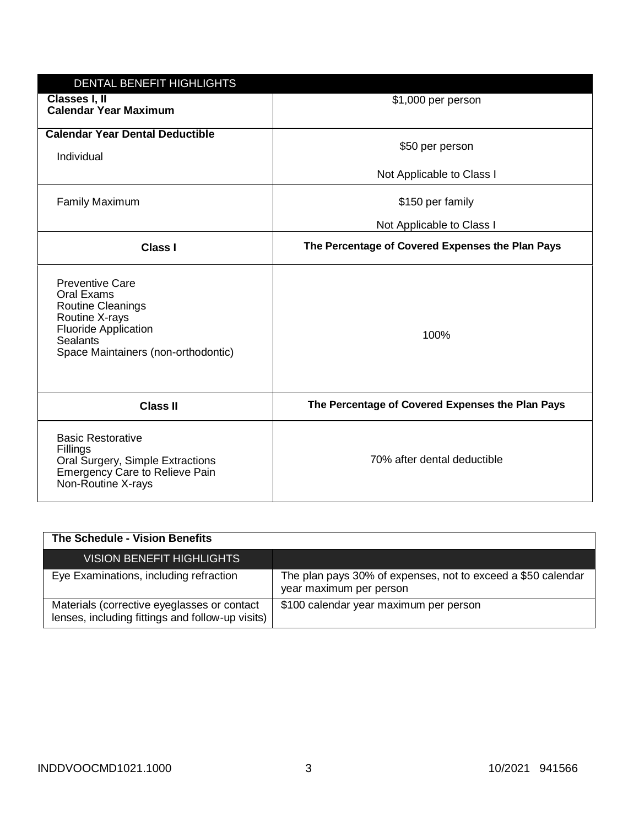| DENTAL BENEFIT HIGHLIGHTS                                                                                                                                                   |                                                  |
|-----------------------------------------------------------------------------------------------------------------------------------------------------------------------------|--------------------------------------------------|
| Classes I, II<br><b>Calendar Year Maximum</b>                                                                                                                               | \$1,000 per person                               |
| <b>Calendar Year Dental Deductible</b><br>Individual                                                                                                                        | \$50 per person                                  |
|                                                                                                                                                                             | Not Applicable to Class I                        |
| <b>Family Maximum</b>                                                                                                                                                       | \$150 per family                                 |
|                                                                                                                                                                             | Not Applicable to Class I                        |
| <b>Class I</b>                                                                                                                                                              | The Percentage of Covered Expenses the Plan Pays |
| <b>Preventive Care</b><br>Oral Exams<br><b>Routine Cleanings</b><br>Routine X-rays<br><b>Fluoride Application</b><br><b>Sealants</b><br>Space Maintainers (non-orthodontic) | 100%                                             |
| <b>Class II</b>                                                                                                                                                             | The Percentage of Covered Expenses the Plan Pays |
| <b>Basic Restorative</b><br>Fillings<br>Oral Surgery, Simple Extractions<br><b>Emergency Care to Relieve Pain</b><br>Non-Routine X-rays                                     | 70% after dental deductible                      |

| The Schedule - Vision Benefits                                                                  |                                                                                         |
|-------------------------------------------------------------------------------------------------|-----------------------------------------------------------------------------------------|
| <b>VISION BENEFIT HIGHLIGHTS</b>                                                                |                                                                                         |
| Eye Examinations, including refraction                                                          | The plan pays 30% of expenses, not to exceed a \$50 calendar<br>year maximum per person |
| Materials (corrective eyeglasses or contact<br>lenses, including fittings and follow-up visits) | \$100 calendar year maximum per person                                                  |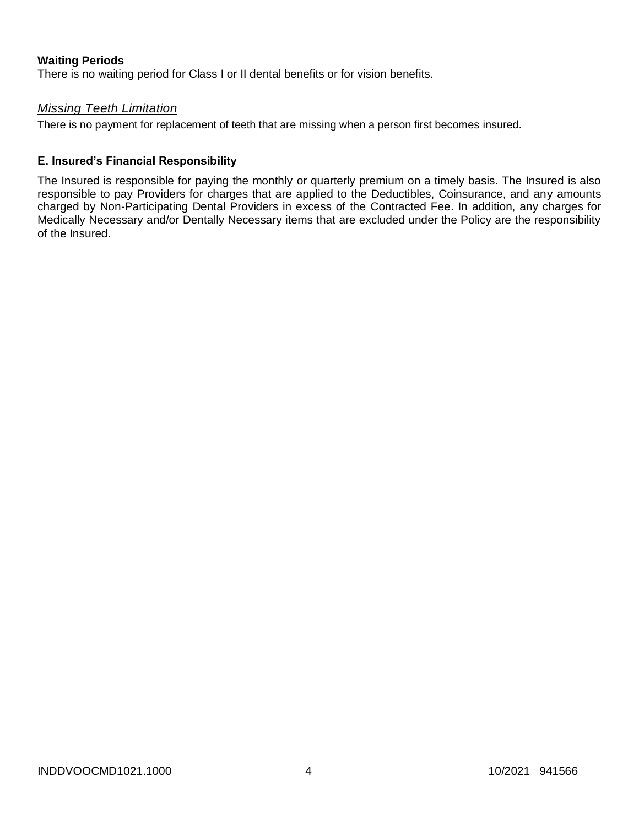# **Waiting Periods**

There is no waiting period for Class I or II dental benefits or for vision benefits.

# *Missing Teeth Limitation*

There is no payment for replacement of teeth that are missing when a person first becomes insured.

# **E. Insured's Financial Responsibility**

The Insured is responsible for paying the monthly or quarterly premium on a timely basis. The Insured is also responsible to pay Providers for charges that are applied to the Deductibles, Coinsurance, and any amounts charged by Non-Participating Dental Providers in excess of the Contracted Fee. In addition, any charges for Medically Necessary and/or Dentally Necessary items that are excluded under the Policy are the responsibility of the Insured.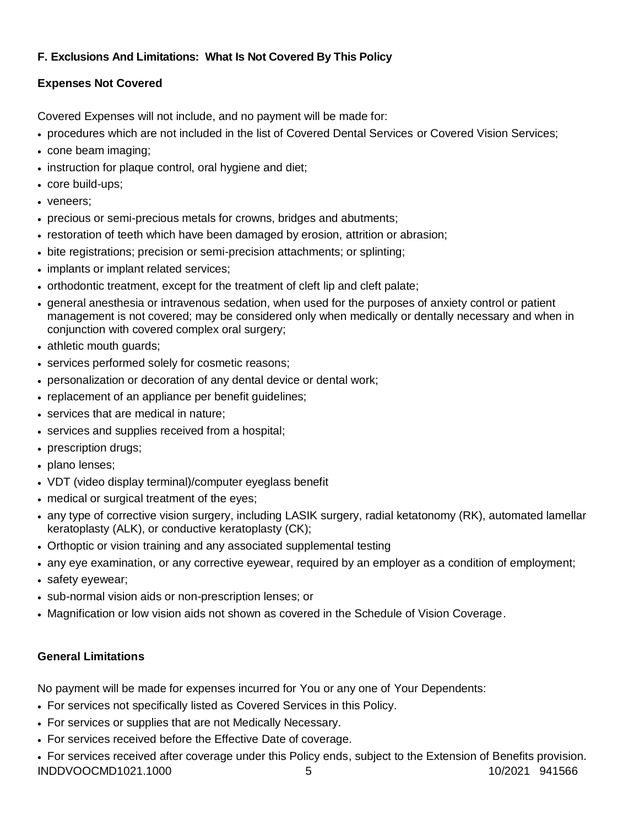# **F. Exclusions And Limitations: What Is Not Covered By This Policy**

# **Expenses Not Covered**

Covered Expenses will not include, and no payment will be made for:

- procedures which are not included in the list of Covered Dental Services or Covered Vision Services;
- cone beam imaging;
- instruction for plaque control, oral hygiene and diet;
- core build-ups;
- veneers:
- precious or semi-precious metals for crowns, bridges and abutments;
- restoration of teeth which have been damaged by erosion, attrition or abrasion;
- bite registrations; precision or semi-precision attachments; or splinting;
- implants or implant related services;
- orthodontic treatment, except for the treatment of cleft lip and cleft palate;
- general anesthesia or intravenous sedation, when used for the purposes of anxiety control or patient management is not covered; may be considered only when medically or dentally necessary and when in conjunction with covered complex oral surgery;
- athletic mouth guards;
- services performed solely for cosmetic reasons;
- personalization or decoration of any dental device or dental work;
- replacement of an appliance per benefit quidelines;
- services that are medical in nature;
- services and supplies received from a hospital;
- prescription drugs;
- plano lenses;
- VDT (video display terminal)/computer eyeglass benefit
- medical or surgical treatment of the eyes;
- any type of corrective vision surgery, including LASIK surgery, radial ketatonomy (RK), automated lamellar keratoplasty (ALK), or conductive keratoplasty (CK);
- Orthoptic or vision training and any associated supplemental testing
- any eye examination, or any corrective eyewear, required by an employer as a condition of employment;
- safety eyewear;
- sub-normal vision aids or non-prescription lenses; or
- Magnification or low vision aids not shown as covered in the Schedule of Vision Coverage.

# **General Limitations**

No payment will be made for expenses incurred for You or any one of Your Dependents:

- For services not specifically listed as Covered Services in this Policy.
- For services or supplies that are not Medically Necessary.
- For services received before the Effective Date of coverage.
- INDDVOOCMD1021.1000 5 10/2021 941566 For services received after coverage under this Policy ends, subject to the Extension of Benefits provision.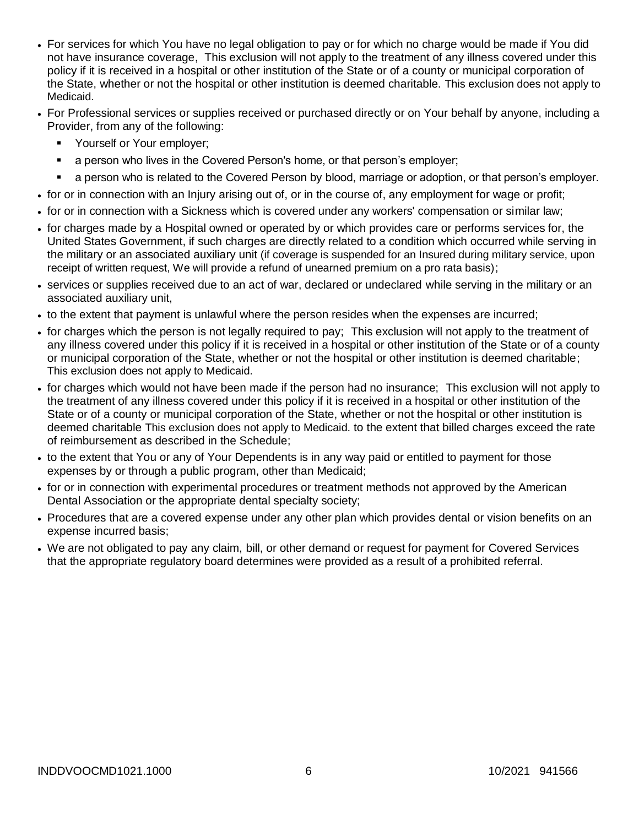- For services for which You have no legal obligation to pay or for which no charge would be made if You did not have insurance coverage, This exclusion will not apply to the treatment of any illness covered under this policy if it is received in a hospital or other institution of the State or of a county or municipal corporation of the State, whether or not the hospital or other institution is deemed charitable. This exclusion does not apply to Medicaid.
- For Professional services or supplies received or purchased directly or on Your behalf by anyone, including a Provider, from any of the following:
	- Yourself or Your employer;
	- a person who lives in the Covered Person's home, or that person's employer;
	- a person who is related to the Covered Person by blood, marriage or adoption, or that person's employer.
- for or in connection with an Injury arising out of, or in the course of, any employment for wage or profit;
- for or in connection with a Sickness which is covered under any workers' compensation or similar law;
- for charges made by a Hospital owned or operated by or which provides care or performs services for, the United States Government, if such charges are directly related to a condition which occurred while serving in the military or an associated auxiliary unit (if coverage is suspended for an Insured during military service, upon receipt of written request, We will provide a refund of unearned premium on a pro rata basis);
- services or supplies received due to an act of war, declared or undeclared while serving in the military or an associated auxiliary unit,
- to the extent that payment is unlawful where the person resides when the expenses are incurred;
- for charges which the person is not legally required to pay; This exclusion will not apply to the treatment of any illness covered under this policy if it is received in a hospital or other institution of the State or of a county or municipal corporation of the State, whether or not the hospital or other institution is deemed charitable; This exclusion does not apply to Medicaid.
- for charges which would not have been made if the person had no insurance; This exclusion will not apply to the treatment of any illness covered under this policy if it is received in a hospital or other institution of the State or of a county or municipal corporation of the State, whether or not the hospital or other institution is deemed charitable This exclusion does not apply to Medicaid. to the extent that billed charges exceed the rate of reimbursement as described in the Schedule;
- to the extent that You or any of Your Dependents is in any way paid or entitled to payment for those expenses by or through a public program, other than Medicaid;
- for or in connection with experimental procedures or treatment methods not approved by the American Dental Association or the appropriate dental specialty society;
- Procedures that are a covered expense under any other plan which provides dental or vision benefits on an expense incurred basis;
- We are not obligated to pay any claim, bill, or other demand or request for payment for Covered Services that the appropriate regulatory board determines were provided as a result of a prohibited referral.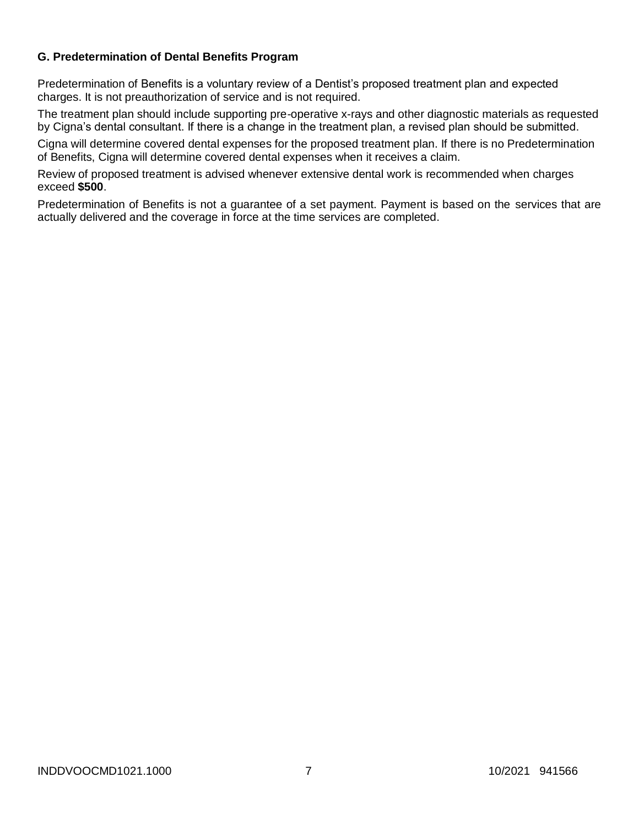# **G. Predetermination of Dental Benefits Program**

Predetermination of Benefits is a voluntary review of a Dentist's proposed treatment plan and expected charges. It is not preauthorization of service and is not required.

The treatment plan should include supporting pre-operative x-rays and other diagnostic materials as requested by Cigna's dental consultant. If there is a change in the treatment plan, a revised plan should be submitted.

Cigna will determine covered dental expenses for the proposed treatment plan. If there is no Predetermination of Benefits, Cigna will determine covered dental expenses when it receives a claim.

Review of proposed treatment is advised whenever extensive dental work is recommended when charges exceed **\$500**.

Predetermination of Benefits is not a guarantee of a set payment. Payment is based on the services that are actually delivered and the coverage in force at the time services are completed.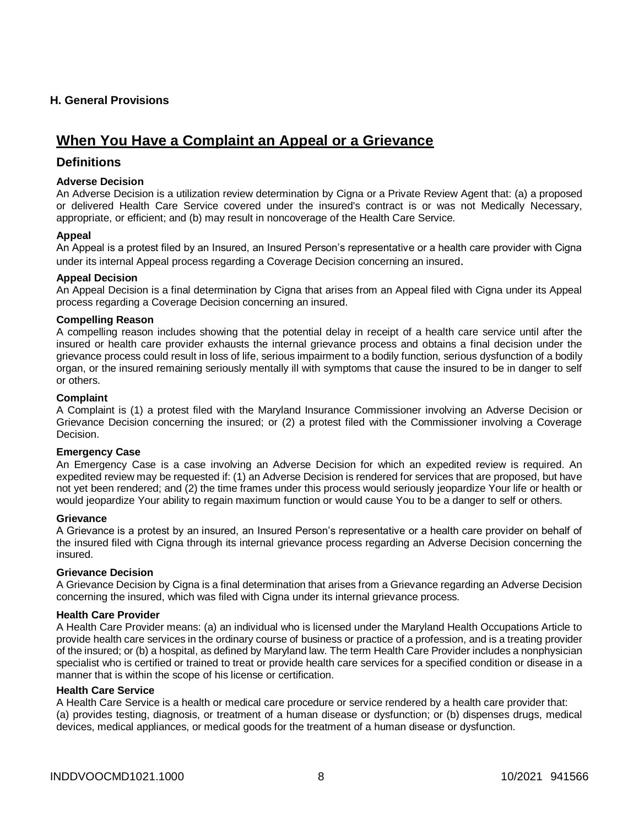## **H. General Provisions**

# **When You Have a Complaint an Appeal or a Grievance**

# **Definitions**

#### **Adverse Decision**

An Adverse Decision is a utilization review determination by Cigna or a Private Review Agent that: (a) a proposed or delivered Health Care Service covered under the insured's contract is or was not Medically Necessary, appropriate, or efficient; and (b) may result in noncoverage of the Health Care Service.

#### **Appeal**

An Appeal is a protest filed by an Insured, an Insured Person's representative or a health care provider with Cigna under its internal Appeal process regarding a Coverage Decision concerning an insured.

#### **Appeal Decision**

An Appeal Decision is a final determination by Cigna that arises from an Appeal filed with Cigna under its Appeal process regarding a Coverage Decision concerning an insured.

#### **Compelling Reason**

A compelling reason includes showing that the potential delay in receipt of a health care service until after the insured or health care provider exhausts the internal grievance process and obtains a final decision under the grievance process could result in loss of life, serious impairment to a bodily function, serious dysfunction of a bodily organ, or the insured remaining seriously mentally ill with symptoms that cause the insured to be in danger to self or others.

#### **Complaint**

A Complaint is (1) a protest filed with the Maryland Insurance Commissioner involving an Adverse Decision or Grievance Decision concerning the insured; or (2) a protest filed with the Commissioner involving a Coverage Decision.

#### **Emergency Case**

An Emergency Case is a case involving an Adverse Decision for which an expedited review is required. An expedited review may be requested if: (1) an Adverse Decision is rendered for services that are proposed, but have not yet been rendered; and (2) the time frames under this process would seriously jeopardize Your life or health or would jeopardize Your ability to regain maximum function or would cause You to be a danger to self or others.

#### **Grievance**

A Grievance is a protest by an insured, an Insured Person's representative or a health care provider on behalf of the insured filed with Cigna through its internal grievance process regarding an Adverse Decision concerning the insured.

#### **Grievance Decision**

A Grievance Decision by Cigna is a final determination that arises from a Grievance regarding an Adverse Decision concerning the insured, which was filed with Cigna under its internal grievance process.

#### **Health Care Provider**

A Health Care Provider means: (a) an individual who is licensed under the Maryland Health Occupations Article to provide health care services in the ordinary course of business or practice of a profession, and is a treating provider of the insured; or (b) a hospital, as defined by Maryland law. The term Health Care Provider includes a nonphysician specialist who is certified or trained to treat or provide health care services for a specified condition or disease in a manner that is within the scope of his license or certification.

#### **Health Care Service**

A Health Care Service is a health or medical care procedure or service rendered by a health care provider that: (a) provides testing, diagnosis, or treatment of a human disease or dysfunction; or (b) dispenses drugs, medical devices, medical appliances, or medical goods for the treatment of a human disease or dysfunction.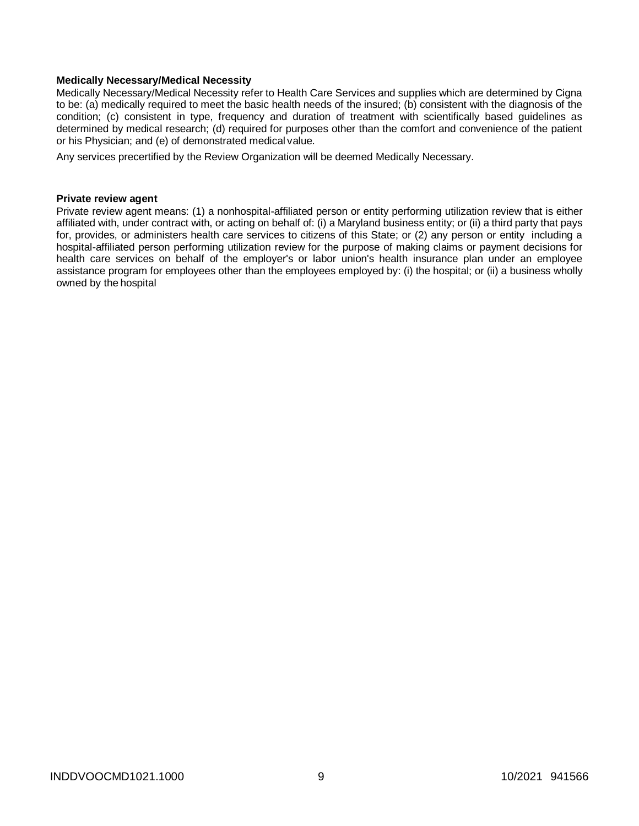#### **Medically Necessary/Medical Necessity**

Medically Necessary/Medical Necessity refer to Health Care Services and supplies which are determined by Cigna to be: (a) medically required to meet the basic health needs of the insured; (b) consistent with the diagnosis of the condition; (c) consistent in type, frequency and duration of treatment with scientifically based guidelines as determined by medical research; (d) required for purposes other than the comfort and convenience of the patient or his Physician; and (e) of demonstrated medical value.

Any services precertified by the Review Organization will be deemed Medically Necessary.

#### **Private review agent**

Private review agent means: (1) a nonhospital-affiliated person or entity performing utilization review that is either affiliated with, under contract with, or acting on behalf of: (i) a Maryland business entity; or (ii) a third party that pays for, provides, or administers health care services to citizens of this State; or (2) any person or entity including a hospital-affiliated person performing utilization review for the purpose of making claims or payment decisions for health care services on behalf of the employer's or labor union's health insurance plan under an employee assistance program for employees other than the employees employed by: (i) the hospital; or (ii) a business wholly owned by the hospital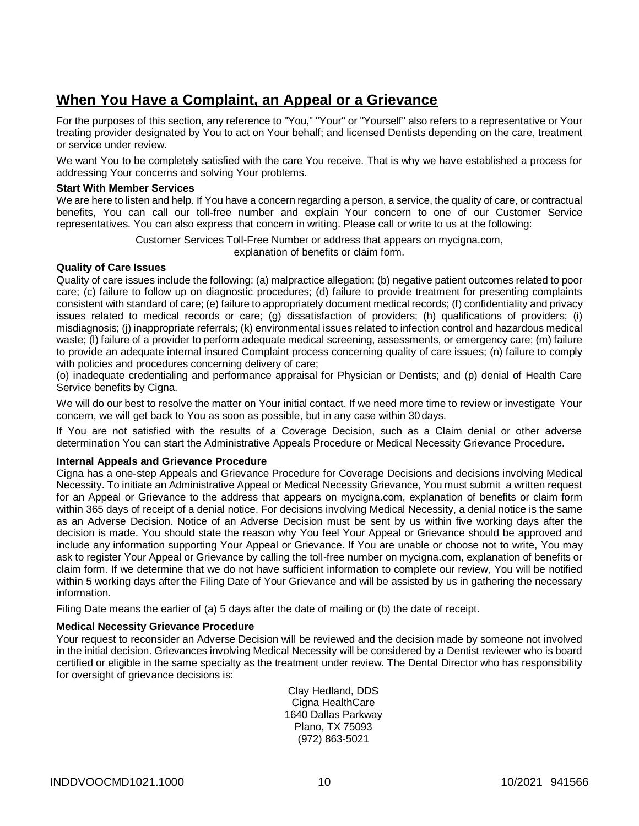# **When You Have a Complaint, an Appeal or a Grievance**

For the purposes of this section, any reference to "You," "Your" or "Yourself" also refers to a representative or Your treating provider designated by You to act on Your behalf; and licensed Dentists depending on the care, treatment or service under review.

We want You to be completely satisfied with the care You receive. That is why we have established a process for addressing Your concerns and solving Your problems.

#### **Start With Member Services**

We are here to listen and help. If You have a concern regarding a person, a service, the quality of care, or contractual benefits, You can call our toll-free number and explain Your concern to one of our Customer Service representatives. You can also express that concern in writing. Please call or write to us at the following:

Customer Services Toll-Free Number or address that appears on mycigna.com,

explanation of benefits or claim form.

#### **Quality of Care Issues**

Quality of care issues include the following: (a) malpractice allegation; (b) negative patient outcomes related to poor care; (c) failure to follow up on diagnostic procedures; (d) failure to provide treatment for presenting complaints consistent with standard of care; (e) failure to appropriately document medical records; (f) confidentiality and privacy issues related to medical records or care; (g) dissatisfaction of providers; (h) qualifications of providers; (i) misdiagnosis; (j) inappropriate referrals; (k) environmental issues related to infection control and hazardous medical waste; (I) failure of a provider to perform adequate medical screening, assessments, or emergency care; (m) failure to provide an adequate internal insured Complaint process concerning quality of care issues; (n) failure to comply with policies and procedures concerning delivery of care;

(o) inadequate credentialing and performance appraisal for Physician or Dentists; and (p) denial of Health Care Service benefits by Cigna.

We will do our best to resolve the matter on Your initial contact. If we need more time to review or investigate Your concern, we will get back to You as soon as possible, but in any case within 30days.

If You are not satisfied with the results of a Coverage Decision, such as a Claim denial or other adverse determination You can start the Administrative Appeals Procedure or Medical Necessity Grievance Procedure.

#### **Internal Appeals and Grievance Procedure**

Cigna has a one-step Appeals and Grievance Procedure for Coverage Decisions and decisions involving Medical Necessity. To initiate an Administrative Appeal or Medical Necessity Grievance, You must submit a written request for an Appeal or Grievance to the address that appears on mycigna.com, explanation of benefits or claim form within 365 days of receipt of a denial notice. For decisions involving Medical Necessity, a denial notice is the same as an Adverse Decision. Notice of an Adverse Decision must be sent by us within five working days after the decision is made. You should state the reason why You feel Your Appeal or Grievance should be approved and include any information supporting Your Appeal or Grievance. If You are unable or choose not to write, You may ask to register Your Appeal or Grievance by calling the toll-free number on mycigna.com, explanation of benefits or claim form. If we determine that we do not have sufficient information to complete our review, You will be notified within 5 working days after the Filing Date of Your Grievance and will be assisted by us in gathering the necessary information.

Filing Date means the earlier of (a) 5 days after the date of mailing or (b) the date of receipt.

#### **Medical Necessity Grievance Procedure**

Your request to reconsider an Adverse Decision will be reviewed and the decision made by someone not involved in the initial decision. Grievances involving Medical Necessity will be considered by a Dentist reviewer who is board certified or eligible in the same specialty as the treatment under review. The Dental Director who has responsibility for oversight of grievance decisions is:

> Clay Hedland, DDS Cigna HealthCare 1640 Dallas Parkway Plano, TX 75093 (972) 863-5021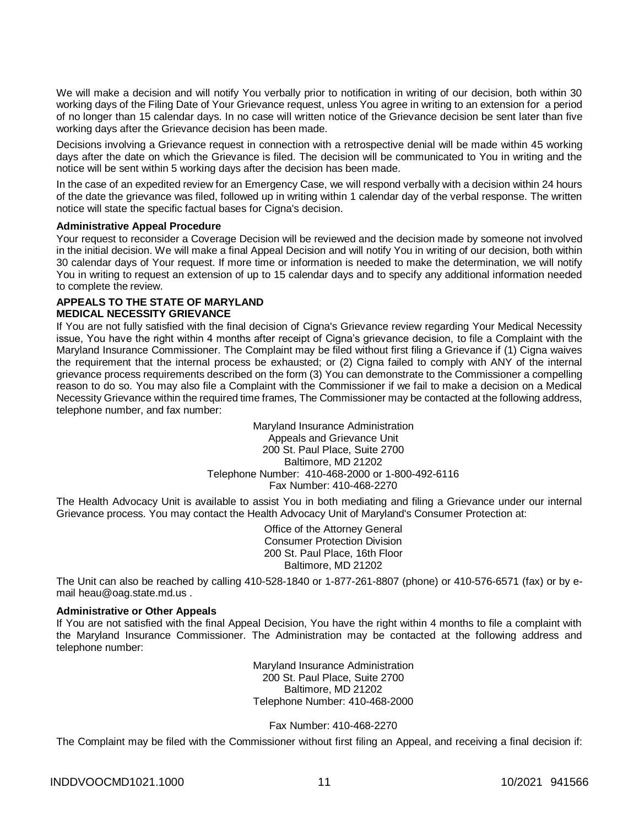We will make a decision and will notify You verbally prior to notification in writing of our decision, both within 30 working days of the Filing Date of Your Grievance request, unless You agree in writing to an extension for a period of no longer than 15 calendar days. In no case will written notice of the Grievance decision be sent later than five working days after the Grievance decision has been made.

Decisions involving a Grievance request in connection with a retrospective denial will be made within 45 working days after the date on which the Grievance is filed. The decision will be communicated to You in writing and the notice will be sent within 5 working days after the decision has been made.

In the case of an expedited review for an Emergency Case, we will respond verbally with a decision within 24 hours of the date the grievance was filed, followed up in writing within 1 calendar day of the verbal response. The written notice will state the specific factual bases for Cigna's decision.

#### **Administrative Appeal Procedure**

Your request to reconsider a Coverage Decision will be reviewed and the decision made by someone not involved in the initial decision. We will make a final Appeal Decision and will notify You in writing of our decision, both within 30 calendar days of Your request. If more time or information is needed to make the determination, we will notify You in writing to request an extension of up to 15 calendar days and to specify any additional information needed to complete the review.

#### **APPEALS TO THE STATE OF MARYLAND MEDICAL NECESSITY GRIEVANCE**

If You are not fully satisfied with the final decision of Cigna's Grievance review regarding Your Medical Necessity issue, You have the right within 4 months after receipt of Cigna's grievance decision, to file a Complaint with the Maryland Insurance Commissioner. The Complaint may be filed without first filing a Grievance if (1) Cigna waives the requirement that the internal process be exhausted; or (2) Cigna failed to comply with ANY of the internal grievance process requirements described on the form (3) You can demonstrate to the Commissioner a compelling reason to do so. You may also file a Complaint with the Commissioner if we fail to make a decision on a Medical Necessity Grievance within the required time frames, The Commissioner may be contacted at the following address, telephone number, and fax number:

> Maryland Insurance Administration Appeals and Grievance Unit 200 St. Paul Place, Suite 2700 Baltimore, MD 21202 Telephone Number: 410-468-2000 or 1-800-492-6116 Fax Number: 410-468-2270

The Health Advocacy Unit is available to assist You in both mediating and filing a Grievance under our internal Grievance process. You may contact the Health Advocacy Unit of Maryland's Consumer Protection at:

> Office of the Attorney General Consumer Protection Division 200 St. Paul Place, 16th Floor Baltimore, MD 21202

The Unit can also be reached by calling 410-528-1840 or 1-877-261-8807 (phone) or 410-576-6571 (fax) or by email [heau@oag.state.md.us](mailto:heau@oag.state.md.us) .

#### **Administrative or Other Appeals**

If You are not satisfied with the final Appeal Decision, You have the right within 4 months to file a complaint with the Maryland Insurance Commissioner. The Administration may be contacted at the following address and telephone number:

> Maryland Insurance Administration 200 St. Paul Place, Suite 2700 Baltimore, MD 21202 Telephone Number: 410-468-2000

> > Fax Number: 410-468-2270

The Complaint may be filed with the Commissioner without first filing an Appeal, and receiving a final decision if: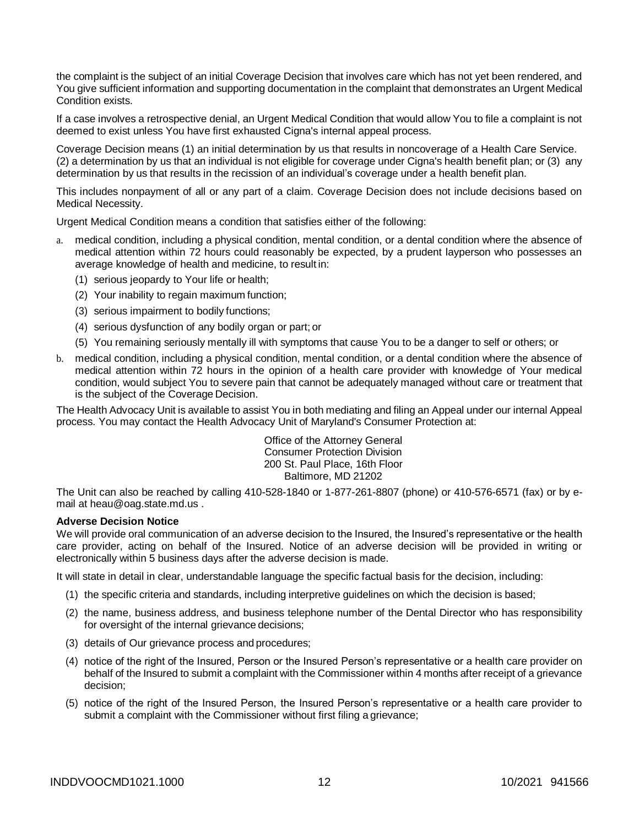the complaint is the subject of an initial Coverage Decision that involves care which has not yet been rendered, and You give sufficient information and supporting documentation in the complaint that demonstrates an Urgent Medical Condition exists.

If a case involves a retrospective denial, an Urgent Medical Condition that would allow You to file a complaint is not deemed to exist unless You have first exhausted Cigna's internal appeal process.

Coverage Decision means (1) an initial determination by us that results in noncoverage of a Health Care Service. (2) a determination by us that an individual is not eligible for coverage under Cigna's health benefit plan; or (3) any determination by us that results in the recission of an individual's coverage under a health benefit plan.

This includes nonpayment of all or any part of a claim. Coverage Decision does not include decisions based on Medical Necessity.

Urgent Medical Condition means a condition that satisfies either of the following:

- a. medical condition, including a physical condition, mental condition, or a dental condition where the absence of medical attention within 72 hours could reasonably be expected, by a prudent layperson who possesses an average knowledge of health and medicine, to result in:
	- (1) serious jeopardy to Your life or health;
	- (2) Your inability to regain maximum function;
	- (3) serious impairment to bodily functions;
	- (4) serious dysfunction of any bodily organ or part; or
	- (5) You remaining seriously mentally ill with symptoms that cause You to be a danger to self or others; or
- b. medical condition, including a physical condition, mental condition, or a dental condition where the absence of medical attention within 72 hours in the opinion of a health care provider with knowledge of Your medical condition, would subject You to severe pain that cannot be adequately managed without care or treatment that is the subject of the Coverage Decision.

The Health Advocacy Unit is available to assist You in both mediating and filing an Appeal under our internal Appeal process. You may contact the Health Advocacy Unit of Maryland's Consumer Protection at:

> Office of the Attorney General Consumer Protection Division 200 St. Paul Place, 16th Floor Baltimore, MD 21202

The Unit can also be reached by calling 410-528-1840 or 1-877-261-8807 (phone) or 410-576-6571 (fax) or by email at [heau@oag.state.md.us](mailto:heau@oag.state.md.us) .

#### **Adverse Decision Notice**

We will provide oral communication of an adverse decision to the Insured, the Insured's representative or the health care provider, acting on behalf of the Insured. Notice of an adverse decision will be provided in writing or electronically within 5 business days after the adverse decision is made.

It will state in detail in clear, understandable language the specific factual basis for the decision, including:

- (1) the specific criteria and standards, including interpretive guidelines on which the decision is based;
- (2) the name, business address, and business telephone number of the Dental Director who has responsibility for oversight of the internal grievance decisions;
- (3) details of Our grievance process and procedures;
- (4) notice of the right of the Insured, Person or the Insured Person's representative or a health care provider on behalf of the Insured to submit a complaint with the Commissioner within 4 months after receipt of a grievance decision;
- (5) notice of the right of the Insured Person, the Insured Person's representative or a health care provider to submit a complaint with the Commissioner without first filing a grievance;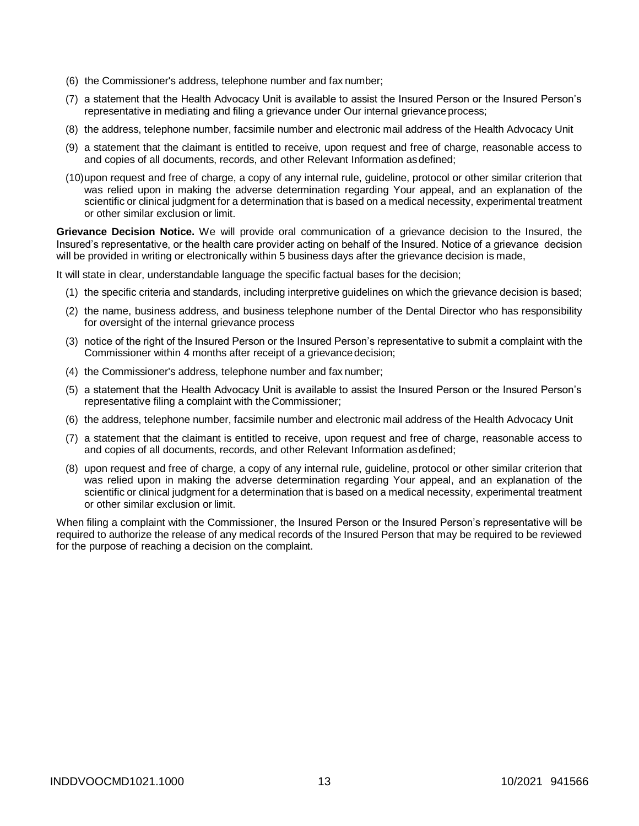- (6) the Commissioner's address, telephone number and fax number;
- (7) a statement that the Health Advocacy Unit is available to assist the Insured Person or the Insured Person's representative in mediating and filing a grievance under Our internal grievance process;
- (8) the address, telephone number, facsimile number and electronic mail address of the Health Advocacy Unit
- (9) a statement that the claimant is entitled to receive, upon request and free of charge, reasonable access to and copies of all documents, records, and other Relevant Information asdefined;
- (10)upon request and free of charge, a copy of any internal rule, guideline, protocol or other similar criterion that was relied upon in making the adverse determination regarding Your appeal, and an explanation of the scientific or clinical judgment for a determination that is based on a medical necessity, experimental treatment or other similar exclusion or limit.

**Grievance Decision Notice.** We will provide oral communication of a grievance decision to the Insured, the Insured's representative, or the health care provider acting on behalf of the Insured. Notice of a grievance decision will be provided in writing or electronically within 5 business days after the grievance decision is made,

It will state in clear, understandable language the specific factual bases for the decision;

- (1) the specific criteria and standards, including interpretive guidelines on which the grievance decision is based;
- (2) the name, business address, and business telephone number of the Dental Director who has responsibility for oversight of the internal grievance process
- (3) notice of the right of the Insured Person or the Insured Person's representative to submit a complaint with the Commissioner within 4 months after receipt of a grievance decision;
- (4) the Commissioner's address, telephone number and fax number;
- (5) a statement that the Health Advocacy Unit is available to assist the Insured Person or the Insured Person's representative filing a complaint with the Commissioner;
- (6) the address, telephone number, facsimile number and electronic mail address of the Health Advocacy Unit
- (7) a statement that the claimant is entitled to receive, upon request and free of charge, reasonable access to and copies of all documents, records, and other Relevant Information asdefined;
- (8) upon request and free of charge, a copy of any internal rule, guideline, protocol or other similar criterion that was relied upon in making the adverse determination regarding Your appeal, and an explanation of the scientific or clinical judgment for a determination that is based on a medical necessity, experimental treatment or other similar exclusion or limit.

When filing a complaint with the Commissioner, the Insured Person or the Insured Person's representative will be required to authorize the release of any medical records of the Insured Person that may be required to be reviewed for the purpose of reaching a decision on the complaint.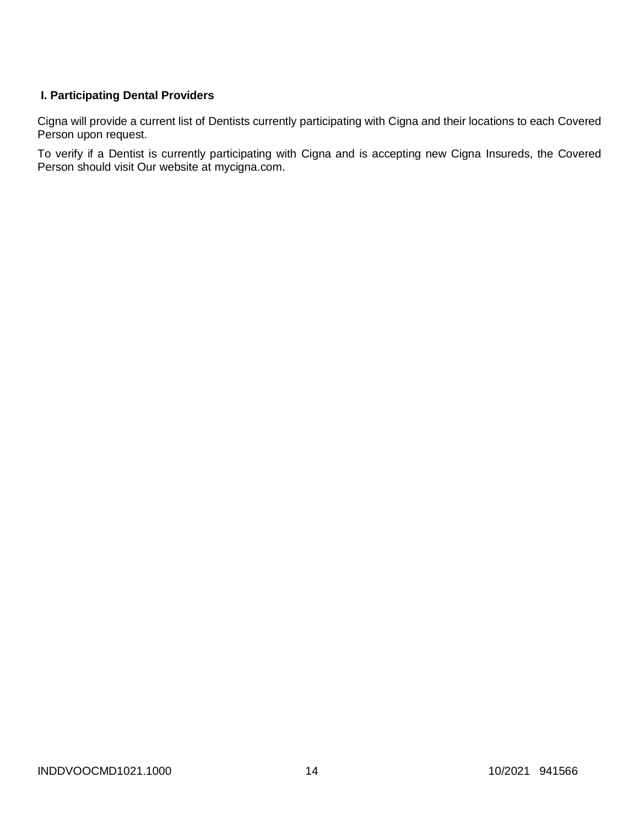# **I. Participating Dental Providers**

Cigna will provide a current list of Dentists currently participating with Cigna and their locations to each Covered Person upon request.

To verify if a Dentist is currently participating with Cigna and is accepting new Cigna Insureds, the Covered Person should visit Our website at mycigna.com.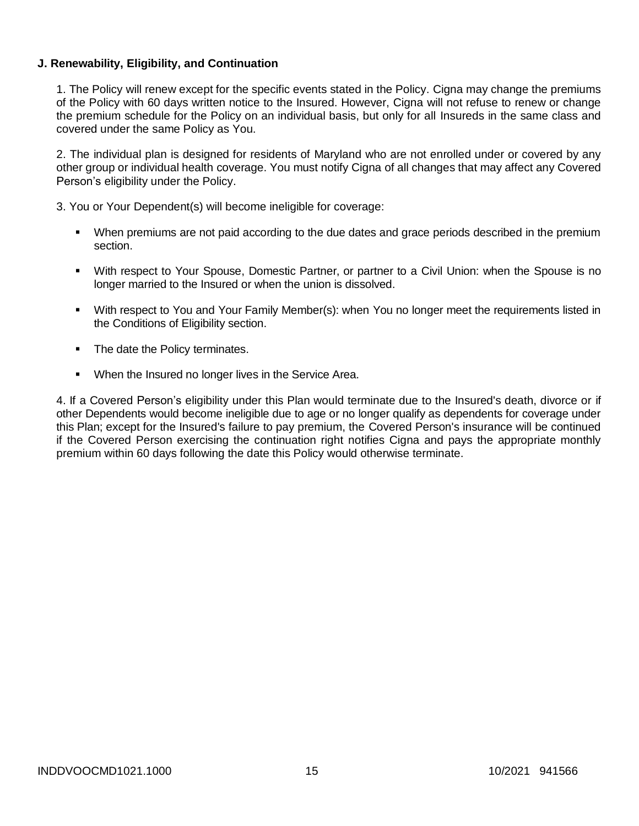# **J. Renewability, Eligibility, and Continuation**

1. The Policy will renew except for the specific events stated in the Policy. Cigna may change the premiums of the Policy with 60 days written notice to the Insured. However, Cigna will not refuse to renew or change the premium schedule for the Policy on an individual basis, but only for all Insureds in the same class and covered under the same Policy as You.

2. The individual plan is designed for residents of Maryland who are not enrolled under or covered by any other group or individual health coverage. You must notify Cigna of all changes that may affect any Covered Person's eligibility under the Policy.

3. You or Your Dependent(s) will become ineligible for coverage:

- When premiums are not paid according to the due dates and grace periods described in the premium section.
- With respect to Your Spouse, Domestic Partner, or partner to a Civil Union: when the Spouse is no longer married to the Insured or when the union is dissolved.
- With respect to You and Your Family Member(s): when You no longer meet the requirements listed in the Conditions of Eligibility section.
- The date the Policy terminates.
- **When the Insured no longer lives in the Service Area.**

4. If a Covered Person's eligibility under this Plan would terminate due to the Insured's death, divorce or if other Dependents would become ineligible due to age or no longer qualify as dependents for coverage under this Plan; except for the Insured's failure to pay premium, the Covered Person's insurance will be continued if the Covered Person exercising the continuation right notifies Cigna and pays the appropriate monthly premium within 60 days following the date this Policy would otherwise terminate.